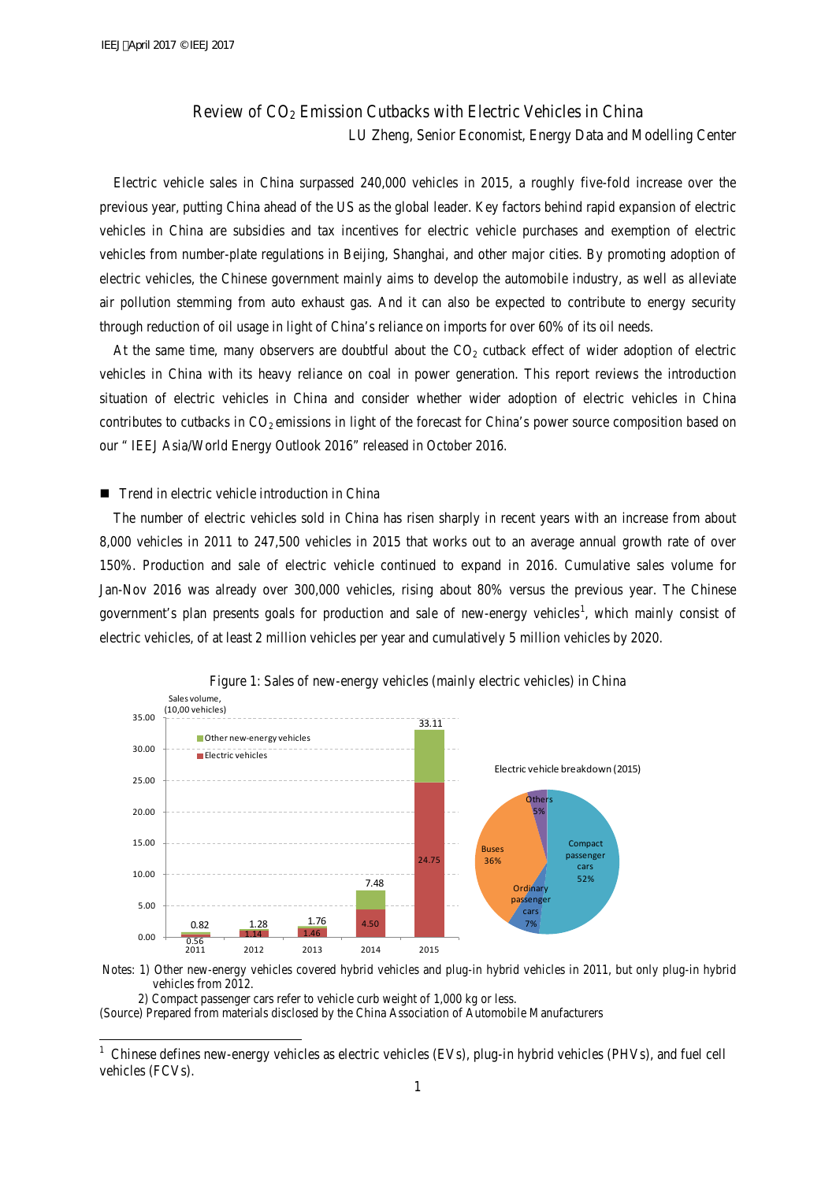# Review of  $CO<sub>2</sub>$  Emission Cutbacks with Electric Vehicles in China LU Zheng, Senior Economist, Energy Data and Modelling Center

Electric vehicle sales in China surpassed 240,000 vehicles in 2015, a roughly five-fold increase over the previous year, putting China ahead of the US as the global leader. Key factors behind rapid expansion of electric vehicles in China are subsidies and tax incentives for electric vehicle purchases and exemption of electric vehicles from number-plate regulations in Beijing, Shanghai, and other major cities. By promoting adoption of electric vehicles, the Chinese government mainly aims to develop the automobile industry, as well as alleviate air pollution stemming from auto exhaust gas. And it can also be expected to contribute to energy security through reduction of oil usage in light of China's reliance on imports for over 60% of its oil needs.

At the same time, many observers are doubtful about the  $CO<sub>2</sub>$  cutback effect of wider adoption of electric vehicles in China with its heavy reliance on coal in power generation. This report reviews the introduction situation of electric vehicles in China and consider whether wider adoption of electric vehicles in China contributes to cutbacks in  $CO_2$  emissions in light of the forecast for China's power source composition based on our " IEEJ Asia/World Energy Outlook 2016" released in October 2016.

## ■ Trend in electric vehicle introduction in China

The number of electric vehicles sold in China has risen sharply in recent years with an increase from about 8,000 vehicles in 2011 to 247,500 vehicles in 2015 that works out to an average annual growth rate of over 150%. Production and sale of electric vehicle continued to expand in 2016. Cumulative sales volume for Jan-Nov 2016 was already over 300,000 vehicles, rising about 80% versus the previous year. The Chinese government's plan presents goals for production and sale of new-energy vehicles<sup>[1](#page-0-0)</sup>, which mainly consist of electric vehicles, of at least 2 million vehicles per year and cumulatively 5 million vehicles by 2020.



Figure 1: Sales of new-energy vehicles (mainly electric vehicles) in China

Notes: 1) Other new-energy vehicles covered hybrid vehicles and plug-in hybrid vehicles in 2011, but only plug-in hybrid vehicles from 2012.

2) Compact passenger cars refer to vehicle curb weight of 1,000 kg or less.

-

(Source) Prepared from materials disclosed by the China Association of Automobile Manufacturers

<span id="page-0-0"></span><sup>1</sup> Chinese defines new-energy vehicles as electric vehicles (EVs), plug-in hybrid vehicles (PHVs), and fuel cell vehicles (FCVs).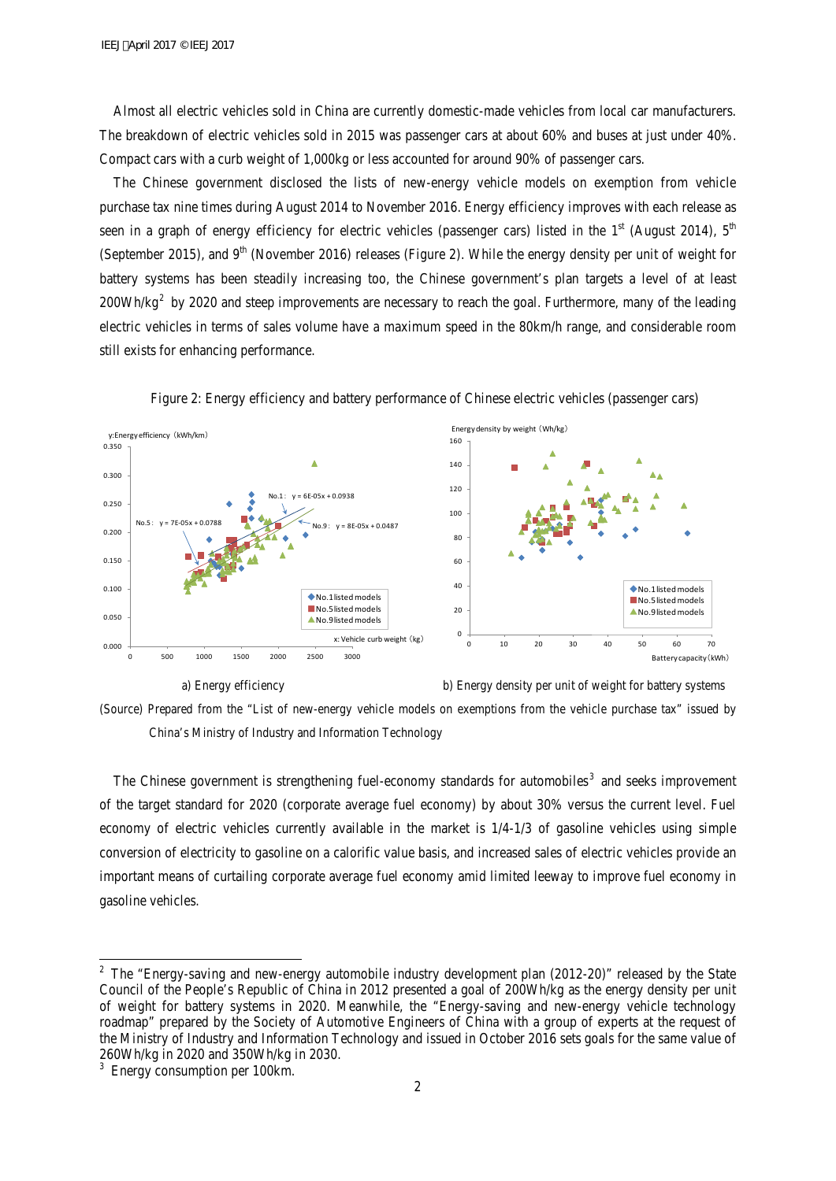Almost all electric vehicles sold in China are currently domestic-made vehicles from local car manufacturers. The breakdown of electric vehicles sold in 2015 was passenger cars at about 60% and buses at just under 40%. Compact cars with a curb weight of 1,000kg or less accounted for around 90% of passenger cars.

The Chinese government disclosed the lists of new-energy vehicle models on exemption from vehicle purchase tax nine times during August 2014 to November 2016. Energy efficiency improves with each release as seen in a graph of energy efficiency for electric vehicles (passenger cars) listed in the  $1<sup>st</sup>$  (August 2014),  $5<sup>th</sup>$ (September 2015), and  $9<sup>th</sup>$  (November 2016) releases (Figure 2). While the energy density per unit of weight for battery systems has been steadily increasing too, the Chinese government's plan targets a level of at least  $200\text{Wh/kg}^2$  $200\text{Wh/kg}^2$  by 2020 and steep improvements are necessary to reach the goal. Furthermore, many of the leading electric vehicles in terms of sales volume have a maximum speed in the 80km/h range, and considerable room still exists for enhancing performance.



Figure 2: Energy efficiency and battery performance of Chinese electric vehicles (passenger cars)

a) Energy efficiency b) Energy density per unit of weight for battery systems



The Chinese government is strengthening fuel-economy standards for automobiles<sup>[3](#page-1-1)</sup> and seeks improvement of the target standard for 2020 (corporate average fuel economy) by about 30% versus the current level. Fuel economy of electric vehicles currently available in the market is 1/4-1/3 of gasoline vehicles using simple conversion of electricity to gasoline on a calorific value basis, and increased sales of electric vehicles provide an important means of curtailing corporate average fuel economy amid limited leeway to improve fuel economy in gasoline vehicles.

-

<span id="page-1-0"></span> $2$  The "Energy-saving and new-energy automobile industry development plan (2012-20)" released by the State Council of the People's Republic of China in 2012 presented a goal of 200Wh/kg as the energy density per unit of weight for battery systems in 2020. Meanwhile, the "Energy-saving and new-energy vehicle technology roadmap" prepared by the Society of Automotive Engineers of China with a group of experts at the request of the Ministry of Industry and Information Technology and issued in October 2016 sets goals for the same value of 260Wh/kg in 2020 and 350Wh/kg in 2030.

<span id="page-1-1"></span><sup>&</sup>lt;sup>3</sup> Energy consumption per 100km.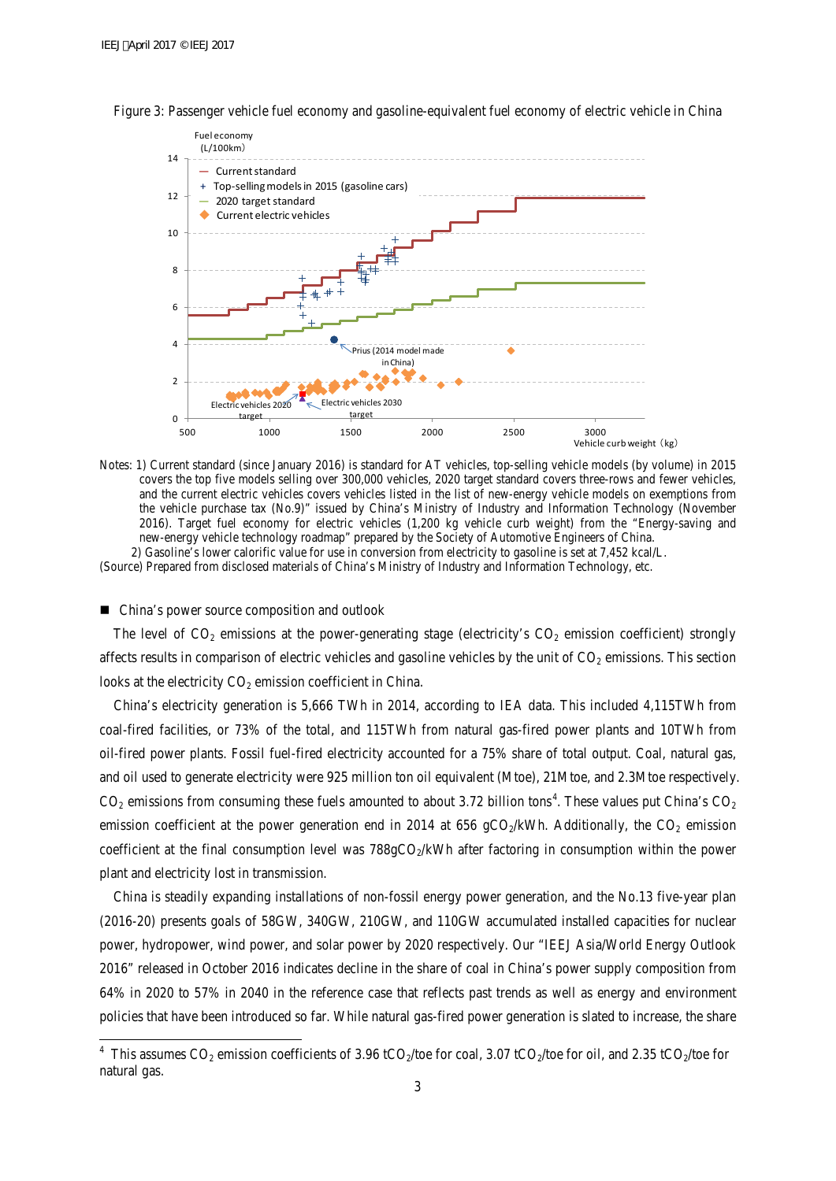

Figure 3: Passenger vehicle fuel economy and gasoline-equivalent fuel economy of electric vehicle in China

Notes: 1) Current standard (since January 2016) is standard for AT vehicles, top-selling vehicle models (by volume) in 2015 covers the top five models selling over 300,000 vehicles, 2020 target standard covers three-rows and fewer vehicles, and the current electric vehicles covers vehicles listed in the list of new-energy vehicle models on exemptions from the vehicle purchase tax (No.9)" issued by China's Ministry of Industry and Information Technology (November 2016). Target fuel economy for electric vehicles (1,200 kg vehicle curb weight) from the "Energy-saving and new-energy vehicle technology roadmap" prepared by the Society of Automotive Engineers of China. 2) Gasoline's lower calorific value for use in conversion from electricity to gasoline is set at 7,452 kcal/L. (Source) Prepared from disclosed materials of China's Ministry of Industry and Information Technology, etc.

#### ■ China's power source composition and outlook

-

The level of  $CO_2$  emissions at the power-generating stage (electricity's  $CO_2$  emission coefficient) strongly affects results in comparison of electric vehicles and gasoline vehicles by the unit of  $CO<sub>2</sub>$  emissions. This section looks at the electricity  $CO<sub>2</sub>$  emission coefficient in China.

China's electricity generation is 5,666 TWh in 2014, according to IEA data. This included 4,115TWh from coal-fired facilities, or 73% of the total, and 115TWh from natural gas-fired power plants and 10TWh from oil-fired power plants. Fossil fuel-fired electricity accounted for a 75% share of total output. Coal, natural gas, and oil used to generate electricity were 925 million ton oil equivalent (Mtoe), 21Mtoe, and 2.3Mtoe respectively.  $CO_2$  emissions from consuming these fuels amounted to about 3.72 billion tons<sup>[4](#page-2-0)</sup>. These values put China's  $CO_2$ emission coefficient at the power generation end in 2014 at 656 gCO<sub>2</sub>/kWh. Additionally, the CO<sub>2</sub> emission coefficient at the final consumption level was  $788gCO<sub>2</sub>/kWh$  after factoring in consumption within the power plant and electricity lost in transmission.

China is steadily expanding installations of non-fossil energy power generation, and the No.13 five-year plan (2016-20) presents goals of 58GW, 340GW, 210GW, and 110GW accumulated installed capacities for nuclear power, hydropower, wind power, and solar power by 2020 respectively. Our "IEEJ Asia/World Energy Outlook 2016" released in October 2016 indicates decline in the share of coal in China's power supply composition from 64% in 2020 to 57% in 2040 in the reference case that reflects past trends as well as energy and environment policies that have been introduced so far. While natural gas-fired power generation is slated to increase, the share

<span id="page-2-0"></span><sup>&</sup>lt;sup>4</sup> This assumes CO<sub>2</sub> emission coefficients of 3.96 tCO<sub>2</sub>/toe for coal, 3.07 tCO<sub>2</sub>/toe for oil, and 2.35 tCO<sub>2</sub>/toe for natural gas.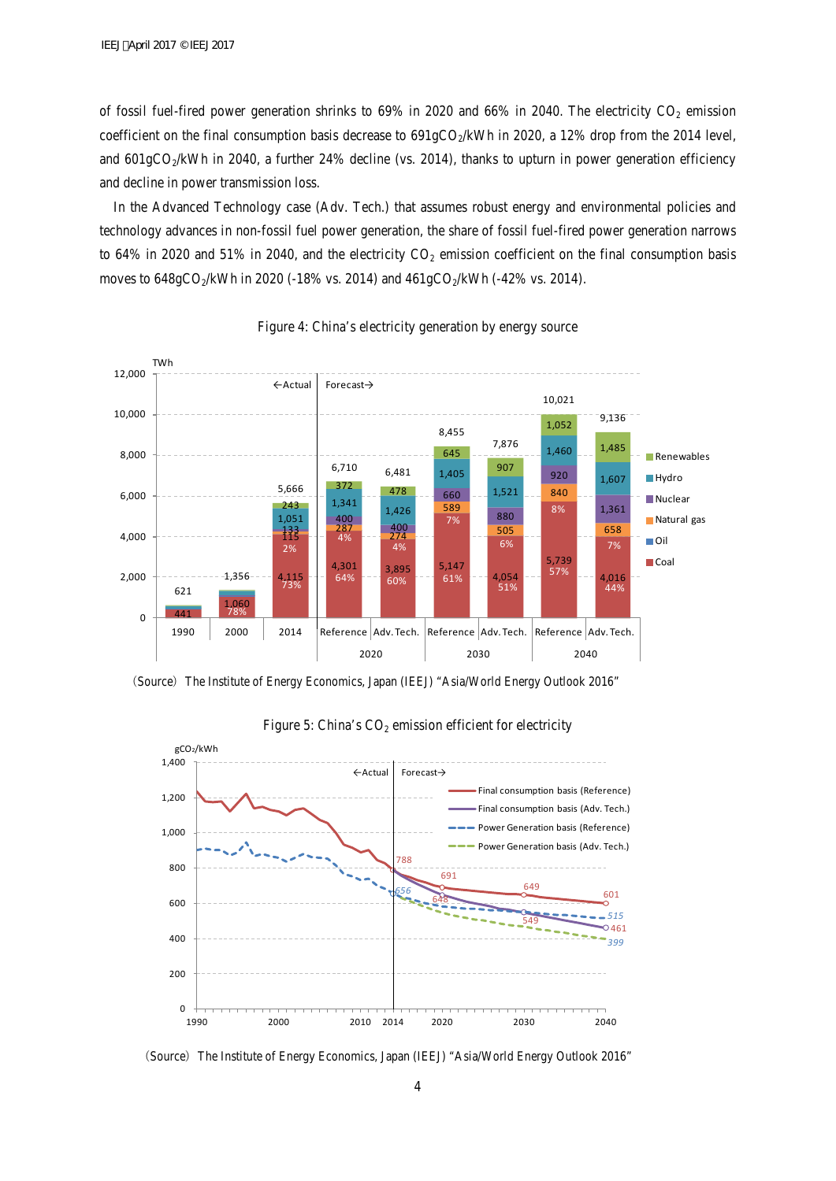of fossil fuel-fired power generation shrinks to  $69\%$  in  $2020$  and  $66\%$  in 2040. The electricity  $CO<sub>2</sub>$  emission coefficient on the final consumption basis decrease to  $691gCO<sub>2</sub>/kWh$  in 2020, a 12% drop from the 2014 level, and 601gCO<sub>2</sub>/kWh in 2040, a further 24% decline (vs. 2014), thanks to upturn in power generation efficiency and decline in power transmission loss.

In the Advanced Technology case (Adv. Tech.) that assumes robust energy and environmental policies and technology advances in non-fossil fuel power generation, the share of fossil fuel-fired power generation narrows to 64% in 2020 and 51% in 2040, and the electricity  $CO_2$  emission coefficient on the final consumption basis moves to  $648gCO_2/kWh$  in 2020 (-18% vs. 2014) and  $461gCO_2/kWh$  (-42% vs. 2014).



#### Figure 4: China's electricity generation by energy source

(Source) The Institute of Energy Economics, Japan (IEEJ) "Asia/World Energy Outlook 2016"



### Figure 5: China's  $CO<sub>2</sub>$  emission efficient for electricity

(Source) The Institute of Energy Economics, Japan (IEEJ) "Asia/World Energy Outlook 2016"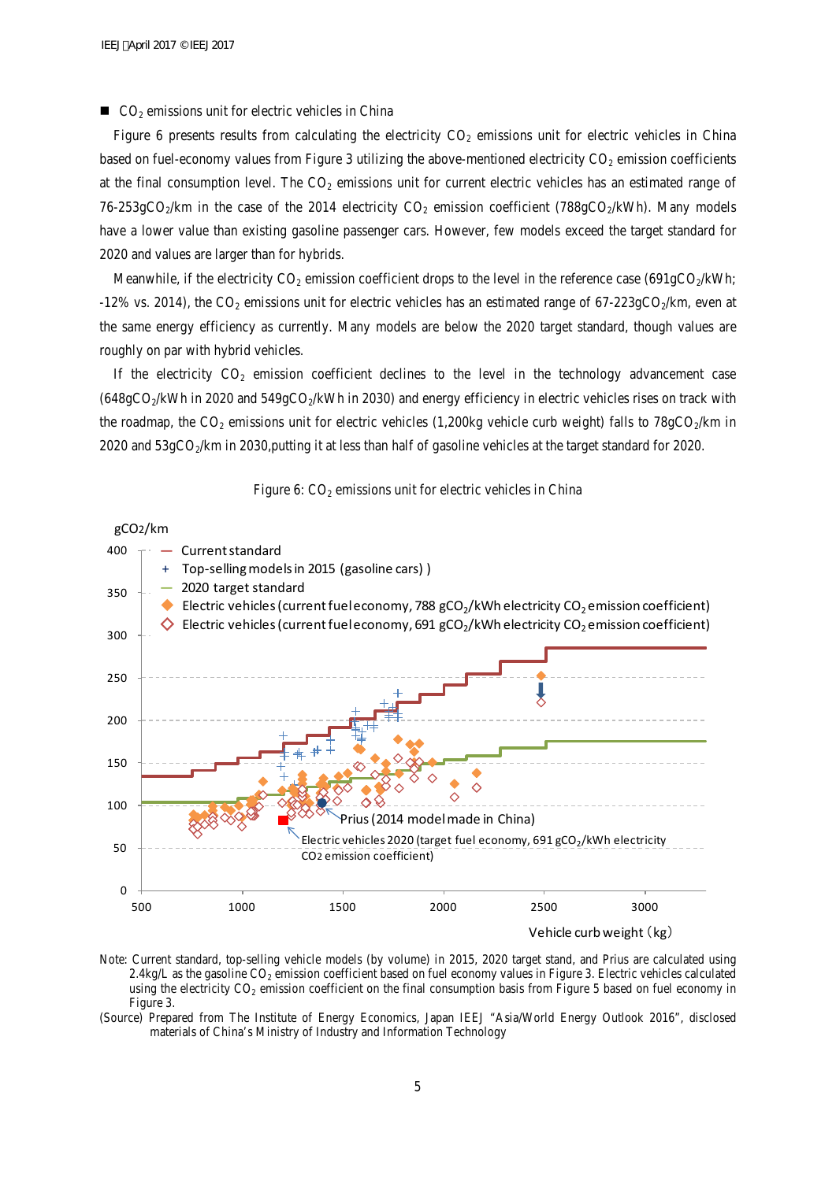$\Box$  CO<sub>2</sub> emissions unit for electric vehicles in China

Figure 6 presents results from calculating the electricity  $CO<sub>2</sub>$  emissions unit for electric vehicles in China based on fuel-economy values from Figure 3 utilizing the above-mentioned electricity  $CO<sub>2</sub>$  emission coefficients at the final consumption level. The  $CO<sub>2</sub>$  emissions unit for current electric vehicles has an estimated range of 76-253gCO<sub>2</sub>/km in the case of the 2014 electricity CO<sub>2</sub> emission coefficient (788gCO<sub>2</sub>/kWh). Many models have a lower value than existing gasoline passenger cars. However, few models exceed the target standard for 2020 and values are larger than for hybrids.

Meanwhile, if the electricity  $CO_2$  emission coefficient drops to the level in the reference case (691gCO<sub>2</sub>/kWh;  $-12\%$  vs. 2014), the CO<sub>2</sub> emissions unit for electric vehicles has an estimated range of 67-223gCO<sub>2</sub>/km, even at the same energy efficiency as currently. Many models are below the 2020 target standard, though values are roughly on par with hybrid vehicles.

If the electricity  $CO_2$  emission coefficient declines to the level in the technology advancement case  $(648gCO<sub>2</sub>/kWh$  in 2020 and 549gCO<sub>2</sub>/kWh in 2030) and energy efficiency in electric vehicles rises on track with the roadmap, the CO<sub>2</sub> emissions unit for electric vehicles (1,200kg vehicle curb weight) falls to  $78gCO<sub>2</sub>/km$  in 2020 and  $53gCO<sub>2</sub>/km$  in 2030,putting it at less than half of gasoline vehicles at the target standard for 2020.





Note: Current standard, top-selling vehicle models (by volume) in 2015, 2020 target stand, and Prius are calculated using 2.4kg/L as the gasoline  $CO<sub>2</sub>$  emission coefficient based on fuel economy values in Figure 3. Electric vehicles calculated using the electricity CO<sub>2</sub> emission coefficient on the final consumption basis from Figure 5 based on fuel economy in Figure 3.

(Source) Prepared from The Institute of Energy Economics, Japan IEEJ "Asia/World Energy Outlook 2016", disclosed materials of China's Ministry of Industry and Information Technology